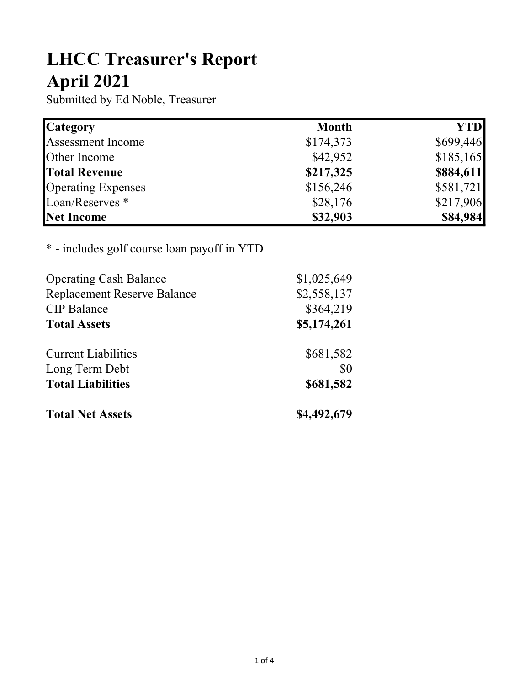## LHCC Treasurer's Report April 2021

Submitted by Ed Noble, Treasurer

| <b>Category</b>            | <b>Month</b> | <b>YTD</b> |
|----------------------------|--------------|------------|
| Assessment Income          | \$174,373    | \$699,446  |
| Other Income               | \$42,952     | \$185,165  |
| <b>Total Revenue</b>       | \$217,325    | \$884,611  |
| <b>Operating Expenses</b>  | \$156,246    | \$581,721  |
| Loan/Reserves <sup>*</sup> | \$28,176     | \$217,906  |
| Net Income                 | \$32,903     | \$84,984   |

## \* - includes golf course loan payoff in YTD

| <b>Operating Cash Balance</b>      | \$1,025,649 |
|------------------------------------|-------------|
| <b>Replacement Reserve Balance</b> | \$2,558,137 |
| <b>CIP</b> Balance                 | \$364,219   |
| <b>Total Assets</b>                | \$5,174,261 |
| <b>Current Liabilities</b>         | \$681,582   |
| Long Term Debt                     | \$0         |
| <b>Total Liabilities</b>           | \$681,582   |
| <b>Total Net Assets</b>            | \$4,492,679 |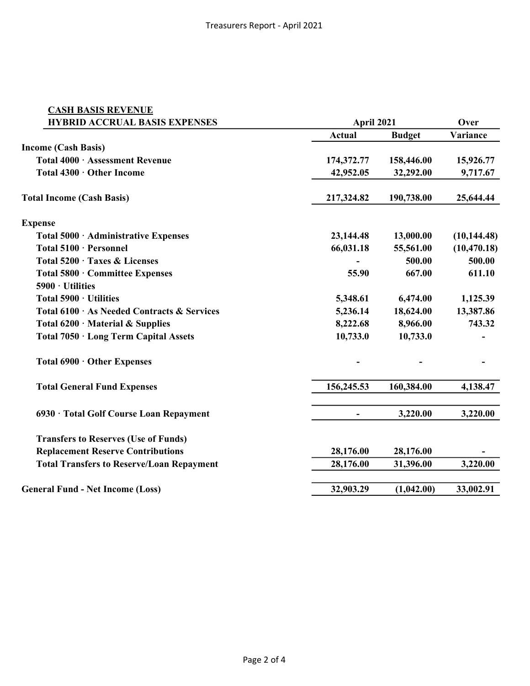| <b>CASH BASIS REVENUE</b>                        |               |               |              |
|--------------------------------------------------|---------------|---------------|--------------|
| <b>HYBRID ACCRUAL BASIS EXPENSES</b>             |               | April 2021    |              |
|                                                  | <b>Actual</b> | <b>Budget</b> | Variance     |
| <b>Income (Cash Basis)</b>                       |               |               |              |
| Total 4000 · Assessment Revenue                  | 174,372.77    | 158,446.00    | 15,926.77    |
| Total 4300 · Other Income                        | 42,952.05     | 32,292.00     | 9,717.67     |
| <b>Total Income (Cash Basis)</b>                 | 217,324.82    | 190,738.00    | 25,644.44    |
| <b>Expense</b>                                   |               |               |              |
| Total 5000 · Administrative Expenses             | 23,144.48     | 13,000.00     | (10, 144.48) |
| Total 5100 · Personnel                           | 66,031.18     | 55,561.00     | (10, 470.18) |
| Total 5200 · Taxes & Licenses                    |               | 500.00        | 500.00       |
| Total 5800 · Committee Expenses                  | 55.90         | 667.00        | 611.10       |
| 5900 · Utilities                                 |               |               |              |
| Total 5900 · Utilities                           | 5,348.61      | 6,474.00      | 1,125.39     |
| Total 6100 · As Needed Contracts & Services      | 5,236.14      | 18,624.00     | 13,387.86    |
| Total $6200 \cdot$ Material & Supplies           | 8,222.68      | 8,966.00      | 743.32       |
| Total 7050 · Long Term Capital Assets            | 10,733.0      | 10,733.0      |              |
| Total 6900 · Other Expenses                      |               |               |              |
| <b>Total General Fund Expenses</b>               | 156,245.53    | 160,384.00    | 4,138.47     |
| 6930 · Total Golf Course Loan Repayment          |               | 3,220.00      | 3,220.00     |
| <b>Transfers to Reserves (Use of Funds)</b>      |               |               |              |
| <b>Replacement Reserve Contributions</b>         | 28,176.00     | 28,176.00     |              |
| <b>Total Transfers to Reserve/Loan Repayment</b> | 28,176.00     | 31,396.00     | 3,220.00     |
|                                                  |               |               |              |
| <b>General Fund - Net Income (Loss)</b>          | 32,903.29     | (1,042.00)    | 33,002.91    |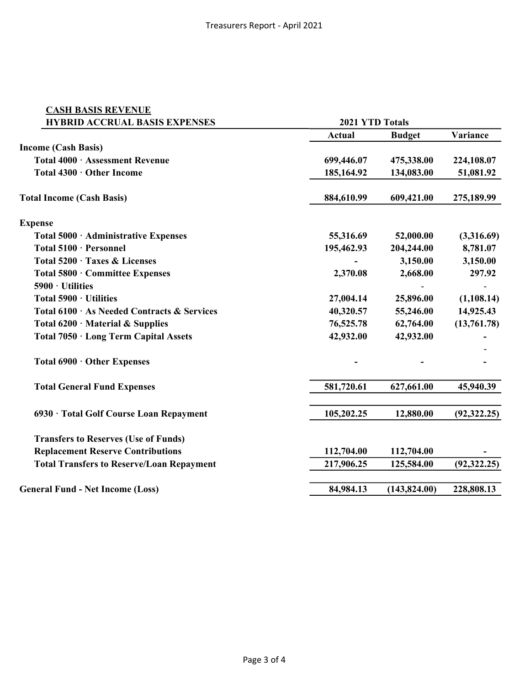| <b>CASH BASIS REVENUE</b>                        |                 |               |              |
|--------------------------------------------------|-----------------|---------------|--------------|
| <b>HYBRID ACCRUAL BASIS EXPENSES</b>             | 2021 YTD Totals |               |              |
|                                                  | <b>Actual</b>   | <b>Budget</b> | Variance     |
| <b>Income (Cash Basis)</b>                       |                 |               |              |
| Total 4000 · Assessment Revenue                  | 699,446.07      | 475,338.00    | 224,108.07   |
| Total 4300 · Other Income                        | 185,164.92      | 134,083.00    | 51,081.92    |
| <b>Total Income (Cash Basis)</b>                 | 884,610.99      | 609,421.00    | 275,189.99   |
| <b>Expense</b>                                   |                 |               |              |
| Total 5000 · Administrative Expenses             | 55,316.69       | 52,000.00     | (3,316.69)   |
| Total 5100 · Personnel                           | 195,462.93      | 204,244.00    | 8,781.07     |
| Total 5200 · Taxes & Licenses                    |                 | 3,150.00      | 3,150.00     |
| Total 5800 · Committee Expenses                  | 2,370.08        | 2,668.00      | 297.92       |
| 5900 · Utilities                                 |                 |               |              |
| Total 5900 · Utilities                           | 27,004.14       | 25,896.00     | (1,108.14)   |
| Total 6100 · As Needed Contracts & Services      | 40,320.57       | 55,246.00     | 14,925.43    |
| Total $6200 \cdot$ Material & Supplies           | 76,525.78       | 62,764.00     | (13,761.78)  |
| Total 7050 · Long Term Capital Assets            | 42,932.00       | 42,932.00     |              |
| Total 6900 · Other Expenses                      |                 |               |              |
| <b>Total General Fund Expenses</b>               | 581,720.61      | 627,661.00    | 45,940.39    |
| 6930 · Total Golf Course Loan Repayment          | 105,202.25      | 12,880.00     | (92, 322.25) |
| <b>Transfers to Reserves (Use of Funds)</b>      |                 |               |              |
| <b>Replacement Reserve Contributions</b>         | 112,704.00      | 112,704.00    |              |
| <b>Total Transfers to Reserve/Loan Repayment</b> | 217,906.25      | 125,584.00    | (92, 322.25) |
| <b>General Fund - Net Income (Loss)</b>          | 84,984.13       | (143, 824.00) | 228,808.13   |